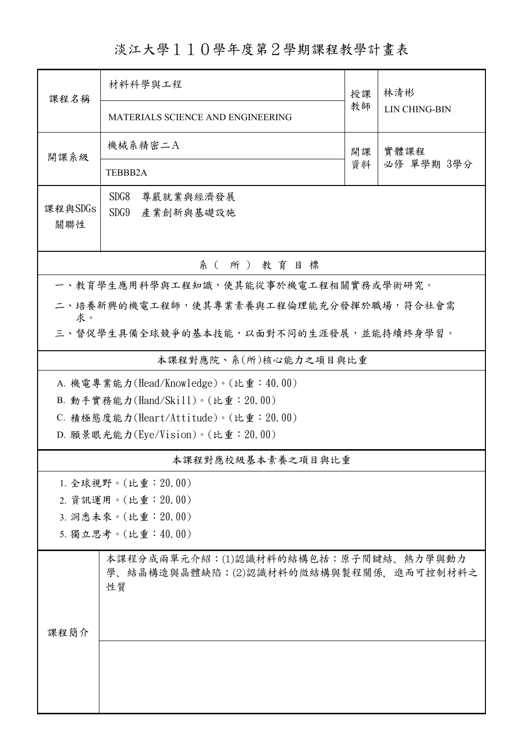淡江大學110學年度第2學期課程教學計畫表

| 課程名稱                                         | 材料科學與工程                                                                             | 授課 |                             |  |  |  |  |  |
|----------------------------------------------|-------------------------------------------------------------------------------------|----|-----------------------------|--|--|--|--|--|
|                                              |                                                                                     |    | 林清彬<br><b>LIN CHING-BIN</b> |  |  |  |  |  |
|                                              | MATERIALS SCIENCE AND ENGINEERING                                                   | 教師 |                             |  |  |  |  |  |
| 開課系級                                         | 機械系精密二A                                                                             | 開課 | 實體課程<br>必修 單學期 3學分          |  |  |  |  |  |
|                                              | TEBBB2A                                                                             | 資料 |                             |  |  |  |  |  |
|                                              | SDG8<br>尊嚴就業與經濟發展                                                                   |    |                             |  |  |  |  |  |
| 課程與SDGs                                      | SDG9<br>產業創新與基礎設施                                                                   |    |                             |  |  |  |  |  |
| 關聯性                                          |                                                                                     |    |                             |  |  |  |  |  |
| 系(所)教育目標                                     |                                                                                     |    |                             |  |  |  |  |  |
| 一、教育學生應用科學與工程知識,使其能從事於機電工程相關實務或學術研究。         |                                                                                     |    |                             |  |  |  |  |  |
| 二、培養新興的機電工程師,使其專業素養與工程倫理能充分發揮於職場,符合社會需       |                                                                                     |    |                             |  |  |  |  |  |
| 求。<br>三、督促學生具備全球競爭的基本技能,以面對不同的生涯發展,並能持續終身學習。 |                                                                                     |    |                             |  |  |  |  |  |
| 本課程對應院、系(所)核心能力之項目與比重                        |                                                                                     |    |                             |  |  |  |  |  |
| A. 機電專業能力(Head/Knowledge)。(比重:40.00)         |                                                                                     |    |                             |  |  |  |  |  |
| B. 動手實務能力(Hand/Skill)。(比重: 20.00)            |                                                                                     |    |                             |  |  |  |  |  |
| C. 積極態度能力(Heart/Attitude)。(比重: 20.00)        |                                                                                     |    |                             |  |  |  |  |  |
|                                              | D. 願景眼光能力(Eye/Vision)。(比重: 20.00)                                                   |    |                             |  |  |  |  |  |
|                                              | 本課程對應校級基本素養之項目與比重                                                                   |    |                             |  |  |  |  |  |
|                                              | 1. 全球視野。(比重: 20.00)                                                                 |    |                             |  |  |  |  |  |
|                                              | 2. 資訊運用。(比重: 20.00)                                                                 |    |                             |  |  |  |  |  |
|                                              | 3. 洞悉未來。(比重: 20.00)                                                                 |    |                             |  |  |  |  |  |
|                                              | 5. 獨立思考。(比重:40.00)                                                                  |    |                             |  |  |  |  |  |
|                                              | 本課程分成兩單元介紹:(1)認識材料的結構包括:原子間鍵結、熱力學與動力<br>學、結晶構造與晶體缺陷;(2)認識材料的微結構與製程關係,進而可控制材料之<br>性質 |    |                             |  |  |  |  |  |
| 课程简介                                         |                                                                                     |    |                             |  |  |  |  |  |
|                                              |                                                                                     |    |                             |  |  |  |  |  |
|                                              |                                                                                     |    |                             |  |  |  |  |  |
|                                              |                                                                                     |    |                             |  |  |  |  |  |
|                                              |                                                                                     |    |                             |  |  |  |  |  |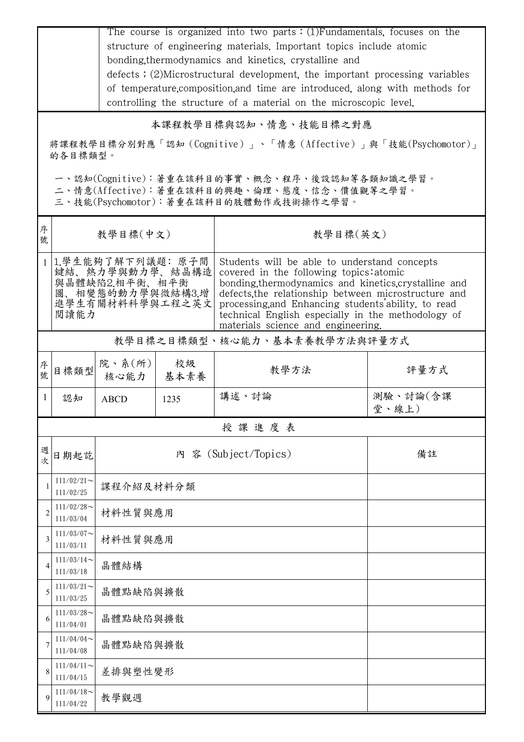|                | The course is organized into two parts $:(1)$ Fundamentals, focuses on the<br>structure of engineering materials. Important topics include atomic<br>bonding, thermodynamics and kinetics, crystalline and<br>defects; (2)Microstructural development, the important processing variables<br>of temperature, composition, and time are introduced, along with methods for |                |            |                                                                                                                                                                                                                                                                                                                                                           |                   |  |  |  |  |
|----------------|---------------------------------------------------------------------------------------------------------------------------------------------------------------------------------------------------------------------------------------------------------------------------------------------------------------------------------------------------------------------------|----------------|------------|-----------------------------------------------------------------------------------------------------------------------------------------------------------------------------------------------------------------------------------------------------------------------------------------------------------------------------------------------------------|-------------------|--|--|--|--|
|                | controlling the structure of a material on the microscopic level.                                                                                                                                                                                                                                                                                                         |                |            |                                                                                                                                                                                                                                                                                                                                                           |                   |  |  |  |  |
|                | 本課程教學目標與認知、情意、技能目標之對應                                                                                                                                                                                                                                                                                                                                                     |                |            |                                                                                                                                                                                                                                                                                                                                                           |                   |  |  |  |  |
|                | 將課程教學目標分別對應「認知(Cognitive)」、「情意(Affective)」與「技能(Psychomotor)」<br>的各目標類型。                                                                                                                                                                                                                                                                                                   |                |            |                                                                                                                                                                                                                                                                                                                                                           |                   |  |  |  |  |
|                | 一、認知(Cognitive):著重在該科目的事實、概念、程序、後設認知等各類知識之學習。<br>二、情意(Affective):著重在該科目的興趣、倫理、態度、信念、價值觀等之學習。<br>三、技能(Psychomotor):著重在該科目的肢體動作或技術操作之學習。                                                                                                                                                                                                                                    |                |            |                                                                                                                                                                                                                                                                                                                                                           |                   |  |  |  |  |
| 序<br>號         |                                                                                                                                                                                                                                                                                                                                                                           | 教學目標(中文)       |            | 教學目標(英文)                                                                                                                                                                                                                                                                                                                                                  |                   |  |  |  |  |
|                | 1.學生能夠了解下列議題: 原子間<br>鍵結、熱力學與動力學、結晶構造<br>與晶體缺陷2.相平衡、相平衡<br>圖、相變態的動力學與微結構3.增<br>進學生有關材料科學與工程之英文<br>閲讀能力                                                                                                                                                                                                                                                                     |                |            | Students will be able to understand concepts<br>covered in the following topics: atomic<br>bonding thermodynamics and kinetics crystalline and<br>defects, the relationship between microstructure and<br>processing, and Enhancing students ability, to read<br>technical English especially in the methodology of<br>materials science and engineering. |                   |  |  |  |  |
|                | 教學目標之目標類型、核心能力、基本素養教學方法與評量方式                                                                                                                                                                                                                                                                                                                                              |                |            |                                                                                                                                                                                                                                                                                                                                                           |                   |  |  |  |  |
| 序號             | 目標類型                                                                                                                                                                                                                                                                                                                                                                      | 院、系(所)<br>核心能力 | 校級<br>基本素養 | 教學方法                                                                                                                                                                                                                                                                                                                                                      | 評量方式              |  |  |  |  |
|                | 認知                                                                                                                                                                                                                                                                                                                                                                        | <b>ABCD</b>    | 1235       | 講述、討論                                                                                                                                                                                                                                                                                                                                                     | 測驗、討論(含課<br>堂、線上) |  |  |  |  |
|                |                                                                                                                                                                                                                                                                                                                                                                           |                |            | 授課進度表                                                                                                                                                                                                                                                                                                                                                     |                   |  |  |  |  |
| 週<br>次         | 日期起訖                                                                                                                                                                                                                                                                                                                                                                      |                |            | 內 容 (Subject/Topics)                                                                                                                                                                                                                                                                                                                                      | 備註                |  |  |  |  |
| 1              | $111/02/21$ ~<br>111/02/25                                                                                                                                                                                                                                                                                                                                                | 課程介紹及材料分類      |            |                                                                                                                                                                                                                                                                                                                                                           |                   |  |  |  |  |
| $\overline{c}$ | $111/02/28$ ~<br>111/03/04                                                                                                                                                                                                                                                                                                                                                | 材料性質與應用        |            |                                                                                                                                                                                                                                                                                                                                                           |                   |  |  |  |  |
| 3              | $111/03/07$ ~<br>111/03/11                                                                                                                                                                                                                                                                                                                                                | 材料性質與應用        |            |                                                                                                                                                                                                                                                                                                                                                           |                   |  |  |  |  |
| 4              | $111/03/14$ ~<br>111/03/18                                                                                                                                                                                                                                                                                                                                                | 晶體結構           |            |                                                                                                                                                                                                                                                                                                                                                           |                   |  |  |  |  |
| 5              | $111/03/21$ ~<br>111/03/25                                                                                                                                                                                                                                                                                                                                                | 晶體點缺陷與擴散       |            |                                                                                                                                                                                                                                                                                                                                                           |                   |  |  |  |  |
| 6              | $111/03/28$ ~<br>111/04/01                                                                                                                                                                                                                                                                                                                                                | 晶體點缺陷與擴散       |            |                                                                                                                                                                                                                                                                                                                                                           |                   |  |  |  |  |
| 7              | 111/04/04<br>111/04/08                                                                                                                                                                                                                                                                                                                                                    | 晶體點缺陷與擴散       |            |                                                                                                                                                                                                                                                                                                                                                           |                   |  |  |  |  |
| 8              | $111/04/11$ ~<br>111/04/15                                                                                                                                                                                                                                                                                                                                                | 差排與塑性變形        |            |                                                                                                                                                                                                                                                                                                                                                           |                   |  |  |  |  |
| 9              | $111/04/18$ ~<br>111/04/22                                                                                                                                                                                                                                                                                                                                                | 教學觀週           |            |                                                                                                                                                                                                                                                                                                                                                           |                   |  |  |  |  |